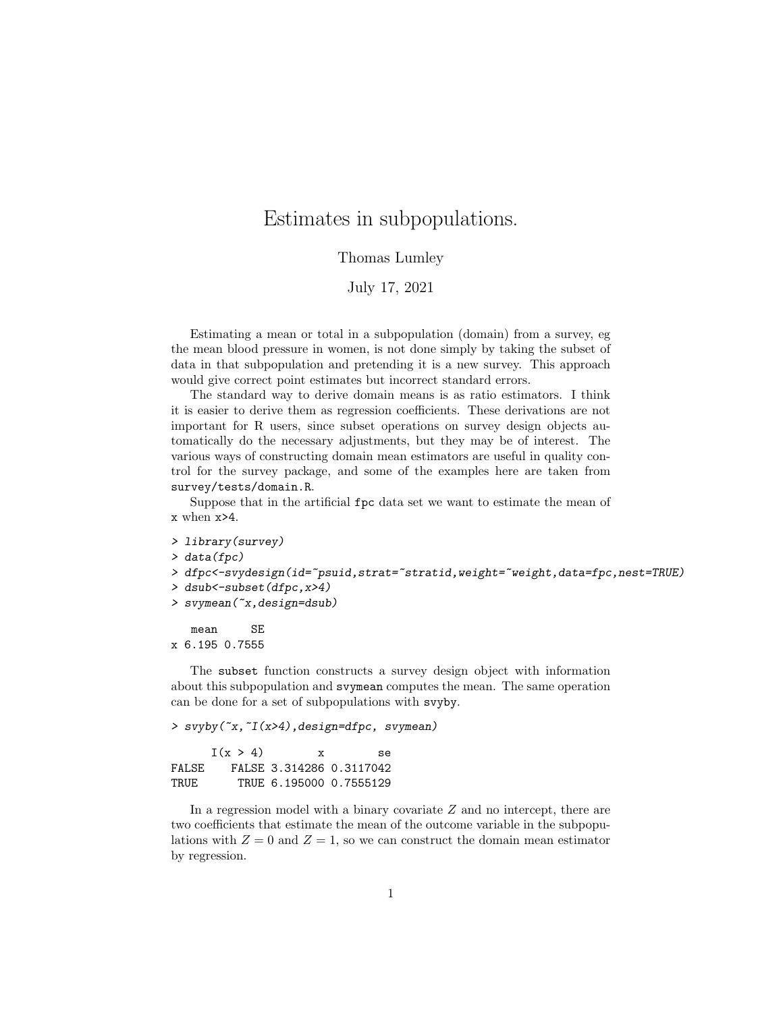## Estimates in subpopulations.

## Thomas Lumley

## July 17, 2021

Estimating a mean or total in a subpopulation (domain) from a survey, eg the mean blood pressure in women, is not done simply by taking the subset of data in that subpopulation and pretending it is a new survey. This approach would give correct point estimates but incorrect standard errors.

The standard way to derive domain means is as ratio estimators. I think it is easier to derive them as regression coefficients. These derivations are not important for R users, since subset operations on survey design objects automatically do the necessary adjustments, but they may be of interest. The various ways of constructing domain mean estimators are useful in quality control for the survey package, and some of the examples here are taken from survey/tests/domain.R.

Suppose that in the artificial fpc data set we want to estimate the mean of x when x>4.

```
> library(survey)
> data(fpc)
> dfpc<-svydesign(id=~psuid,strat=~stratid,weight=~weight,data=fpc,nest=TRUE)
> dsub<-subset(dfpc,x>4)
```
> svymean(~x,design=dsub)

mean SE x 6.195 0.7555

The subset function constructs a survey design object with information about this subpopulation and svymean computes the mean. The same operation can be done for a set of subpopulations with svyby.

> svyby(~x,~I(x>4),design=dfpc, svymean)

|       | I(x > 4) | X | Se.                      |
|-------|----------|---|--------------------------|
| FALSE |          |   | FALSE 3.314286 0.3117042 |
| TRUE. |          |   | TRUE 6.195000 0.7555129  |

In a regression model with a binary covariate Z and no intercept, there are two coefficients that estimate the mean of the outcome variable in the subpopulations with  $Z = 0$  and  $Z = 1$ , so we can construct the domain mean estimator by regression.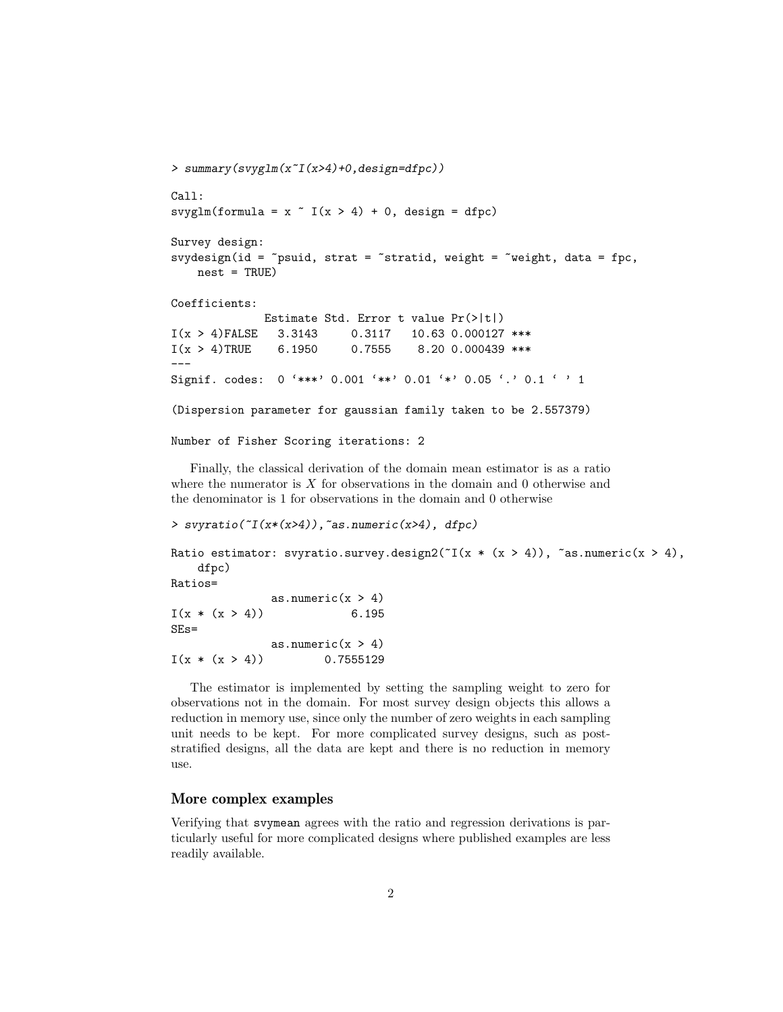```
> summary(svyglm(x~I(x>4)+0,design=dfpc))
Call:
svyglm(formula = x \tilde{I}(x > 4) + 0, design = dfpc)
Survey design:
svydesign(id = \epsilonpsuid, strat = \epsilonstratid, weight = \epsilonweight, data = fpc,
    nest = TRUE)Coefficients:
              Estimate Std. Error t value Pr(>|t|)
I(x > 4)FALSE 3.3143 0.3117 10.63 0.000127 ***
I(x > 4)TRUE 6.1950 0.7555 8.20 0.000439 ***
---
Signif. codes: 0 '***' 0.001 '**' 0.01 '*' 0.05 '.' 0.1 ' ' 1
(Dispersion parameter for gaussian family taken to be 2.557379)
Number of Fisher Scoring iterations: 2
```
Finally, the classical derivation of the domain mean estimator is as a ratio where the numerator is  $X$  for observations in the domain and 0 otherwise and the denominator is 1 for observations in the domain and 0 otherwise

```
> svyratio([I(x*(x>4)), as.numeric(x>4), dfpc)
Ratio estimator: svyratio.survey.design2(T(x * (x > 4)), \tilde{a}s.numeric(x > 4),
   dfpc)
Ratios=
              as.numeric(x > 4)I(x * (x > 4)) 6.195
SEs=
              as.numeric(x > 4)I(x * (x > 4)) 0.7555129
```
The estimator is implemented by setting the sampling weight to zero for observations not in the domain. For most survey design objects this allows a reduction in memory use, since only the number of zero weights in each sampling unit needs to be kept. For more complicated survey designs, such as poststratified designs, all the data are kept and there is no reduction in memory use.

## More complex examples

Verifying that svymean agrees with the ratio and regression derivations is particularly useful for more complicated designs where published examples are less readily available.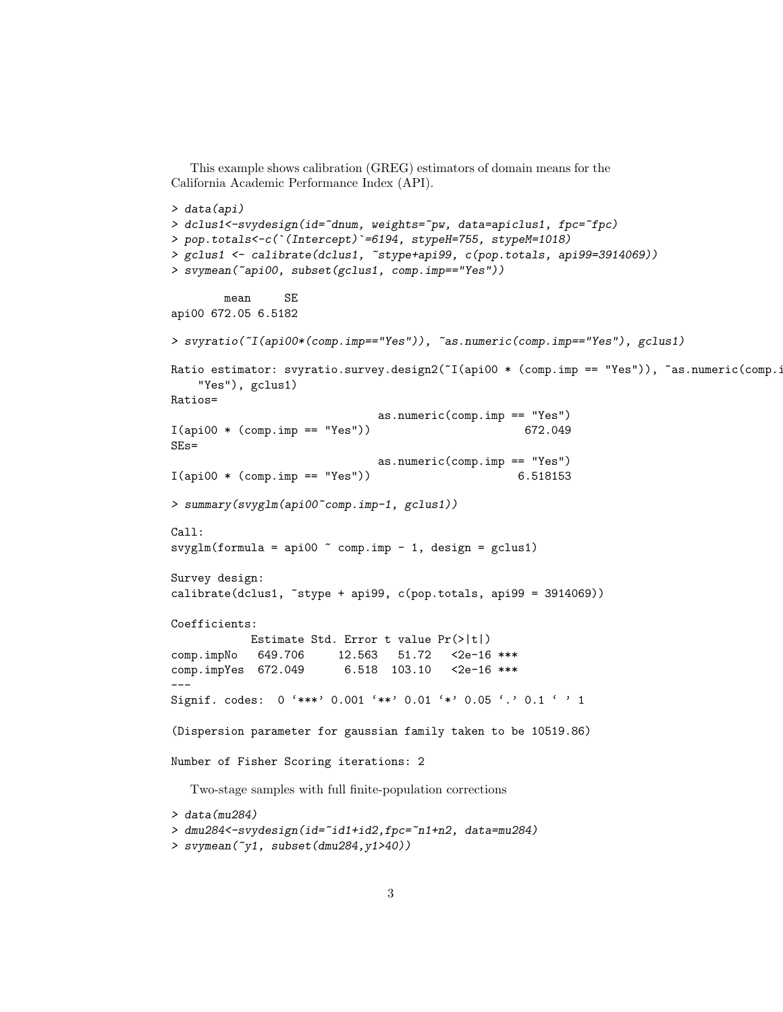```
This example shows calibration (GREG) estimators of domain means for the
California Academic Performance Index (API).
> data(api)
> dclus1<-svydesign(id="dnum, weights="pw, data=apiclus1, fpc="fpc)
> pop.totals<-c(`(Intercept)`=6194, stypeH=755, stypeM=1018)
> gclus1 <- calibrate(dclus1, ~stype+api99, c(pop.totals, api99=3914069))
> svymean(~api00, subset(gclus1, comp.imp=="Yes"))
       mean SE
api00 672.05 6.5182
> svyratio(~I(api00*(comp.imp=="Yes")), ~as.numeric(comp.imp=="Yes"), gclus1)
Ratio estimator: svyratio.survey.design2(~I(api00 * (comp.imp == "Yes")), ~as.numeric(comp.i
    "Yes"), gclus1)
Ratios=
                              as.numeric(comp.imp == "Yes")
I(api00 * (comp.imp == "Yes") 672.049
SEs=
                              as.numeric(comp.imp == "Yes")
I(api00 * (comp.imp == "Yes") 6.518153
> summary(svyglm(api00~comp.imp-1, gclus1))
Call:
svyglm(formula = api00 \degree comp.imp - 1, design = gclus1)
Survey design:
calibrate(dclus1, *style + api99, c(pop.totals, api99 = 3914069))Coefficients:
           Estimate Std. Error t value Pr(>|t|)
comp.impNo 649.706 12.563 51.72 <2e-16 ***
comp.impYes 672.049 6.518 103.10 <2e-16 ***
---
Signif. codes: 0 '***' 0.001 '**' 0.01 '*' 0.05 '.' 0.1 ' ' 1
(Dispersion parameter for gaussian family taken to be 10519.86)
Number of Fisher Scoring iterations: 2
  Two-stage samples with full finite-population corrections
> data(mu284)
> dmu284<-svydesign(id=~id1+id2,fpc=~n1+n2, data=mu284)
> svymean(~y1, subset(dmu284,y1>40))
```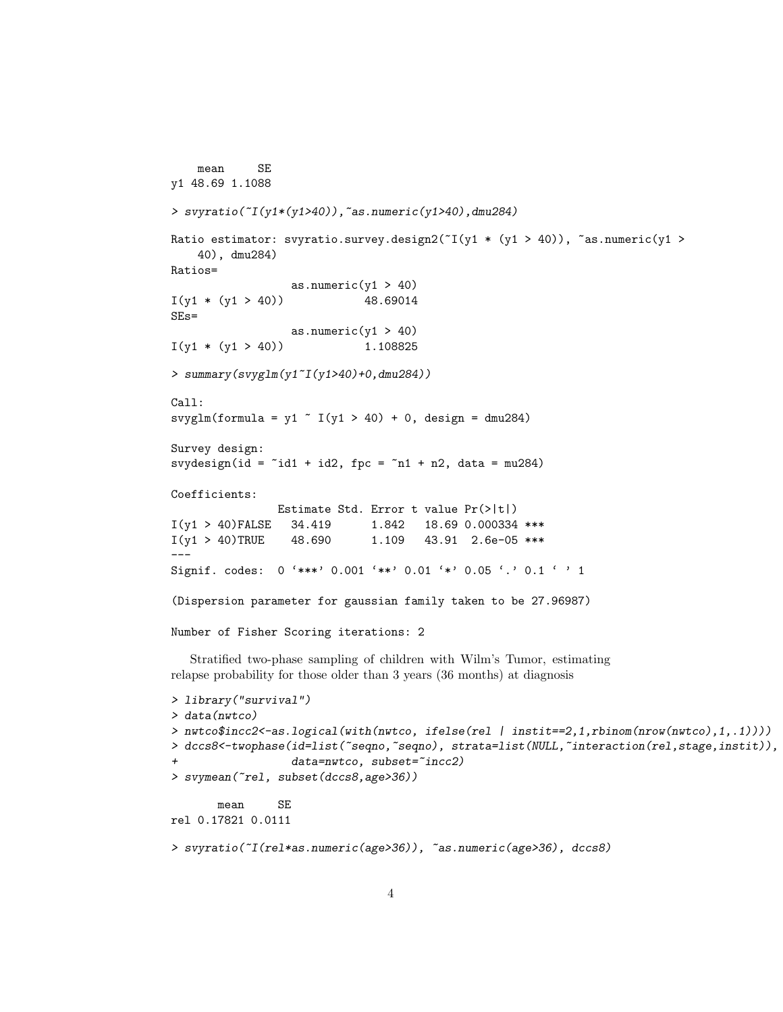```
mean SE
y1 48.69 1.1088
> svyratio(~I(y1*(y1>40)),~as.numeric(y1>40),dmu284)
Ratio estimator: svyratio.survey.design2(T(y1 * (y1 > 40)), \text{~as.}numeric(y1 >
    40), dmu284)
Ratios=
                  as.numeric(y1 > 40)
I(y1 * (y1 > 40)) 48.69014
SEs=
                  as.numeric(y1 > 40)
I(y1 * (y1 > 40)) 1.108825
> summary(svyglm(y1~I(y1>40)+0,dmu284))
Call:
svyglm(formula = y1 \degree I(y1 > 40) + 0, design = dmu284)
Survey design:
svydesign(id = \tilde{i}d1 + id2, fpc = \tilde{i}n1 + n2, data = mu284)
Coefficients:
                Estimate Std. Error t value Pr(>|t|)
I(y1 > 40)FALSE 34.419 1.842 18.69 0.000334 ***
I(y1 > 40)TRUE 48.690 1.109 43.91 2.6e-05 ***
---
Signif. codes: 0 '***' 0.001 '**' 0.01 '*' 0.05 '.' 0.1 ' ' 1
(Dispersion parameter for gaussian family taken to be 27.96987)
Number of Fisher Scoring iterations: 2
  Stratified two-phase sampling of children with Wilm's Tumor, estimating
relapse probability for those older than 3 years (36 months) at diagnosis
> library("survival")
> data(nwtco)
> nwtco$incc2<-as.logical(with(nwtco, ifelse(rel | instit==2,1,rbinom(nrow(nwtco),1,.1))))
> dccs8<-twophase(id=list(~seqno,~seqno), strata=list(NULL,~interaction(rel,stage,instit)),
                  data=nwtco, subset="incc2)
> svymean(~rel, subset(dccs8,age>36))
       mean SE
rel 0.17821 0.0111
```

```
> svyratio(~I(rel*as.numeric(age>36)), ~as.numeric(age>36), dccs8)
```